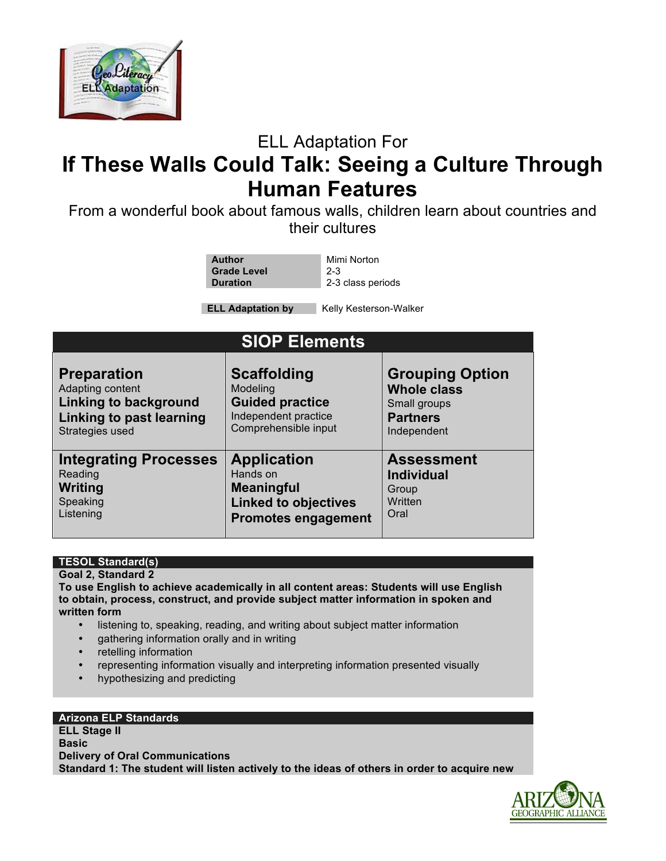

## ELL Adaptation For

# **If These Walls Could Talk: Seeing a Culture Through Human Features**

From a wonderful book about famous walls, children learn about countries and their cultures

| Author             | Mimi Norton       |
|--------------------|-------------------|
| <b>Grade Level</b> | $2 - 3$           |
| <b>Duration</b>    | 2-3 class periods |

**ELL Adaptation by Kelly Kesterson-Walker** 

| <b>SIOP Elements</b>         |                             |                        |  |
|------------------------------|-----------------------------|------------------------|--|
| <b>Preparation</b>           | <b>Scaffolding</b>          | <b>Grouping Option</b> |  |
| Adapting content             | Modeling                    | <b>Whole class</b>     |  |
| Linking to background        | <b>Guided practice</b>      | Small groups           |  |
| Linking to past learning     | Independent practice        | <b>Partners</b>        |  |
| Strategies used              | Comprehensible input        | Independent            |  |
| <b>Integrating Processes</b> | <b>Application</b>          | <b>Assessment</b>      |  |
| Reading                      | Hands on                    | <b>Individual</b>      |  |
| Writing                      | <b>Meaningful</b>           | Group                  |  |
| Speaking                     | <b>Linked to objectives</b> | Written                |  |
| Listening                    | <b>Promotes engagement</b>  | Oral                   |  |

### **TESOL Standard(s)**

**Goal 2, Standard 2 To use English to achieve academically in all content areas: Students will use English to obtain, process, construct, and provide subject matter information in spoken and written form**

- listening to, speaking, reading, and writing about subject matter information
- gathering information orally and in writing
- retelling information
- representing information visually and interpreting information presented visually
- hypothesizing and predicting

### **Arizona ELP Standards**

**ELL Stage II Basic Delivery of Oral Communications Standard 1: The student will listen actively to the ideas of others in order to acquire new** 

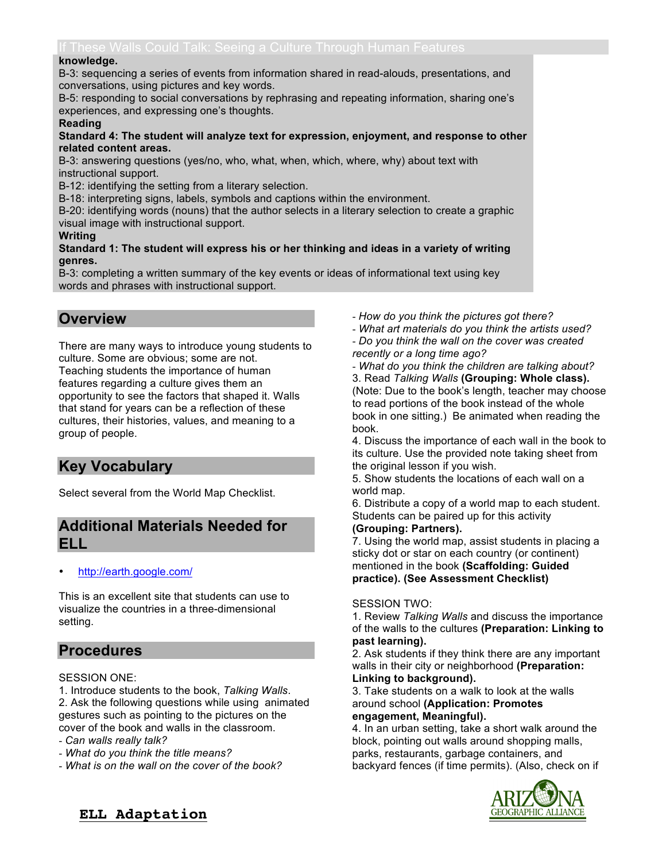#### **knowledge.**

B-3: sequencing a series of events from information shared in read-alouds, presentations, and conversations, using pictures and key words.

B-5: responding to social conversations by rephrasing and repeating information, sharing one's experiences, and expressing one's thoughts.

#### **Reading**

#### **Standard 4: The student will analyze text for expression, enjoyment, and response to other related content areas.**

B-3: answering questions (yes/no, who, what, when, which, where, why) about text with instructional support.

B-12: identifying the setting from a literary selection.

B-18: interpreting signs, labels, symbols and captions within the environment.

B-20: identifying words (nouns) that the author selects in a literary selection to create a graphic visual image with instructional support.

### **Writing**

#### **Standard 1: The student will express his or her thinking and ideas in a variety of writing genres.**

B-3: completing a written summary of the key events or ideas of informational text using key words and phrases with instructional support.

### **Overview**

There are many ways to introduce young students to culture. Some are obvious; some are not. Teaching students the importance of human features regarding a culture gives them an opportunity to see the factors that shaped it. Walls that stand for years can be a reflection of these cultures, their histories, values, and meaning to a group of people.

### **Key Vocabulary**

Select several from the World Map Checklist.

### **Additional Materials Needed for ELL**

• http://earth.google.com/

This is an excellent site that students can use to visualize the countries in a three-dimensional setting.

### **Procedures**

### SESSION ONE:

1. Introduce students to the book, *Talking Walls*. 2. Ask the following questions while using animated gestures such as pointing to the pictures on the cover of the book and walls in the classroom.

- *Can walls really talk?*
- *What do you think the title means?*
- *What is on the wall on the cover of the book?*

- *How do you think the pictures got there?* 

- *What art materials do you think the artists used?* - *Do you think the wall on the cover was created recently or a long time ago?*

- *What do you think the children are talking about?* 3. Read *Talking Walls* **(Grouping: Whole class).**  (Note: Due to the book's length, teacher may choose to read portions of the book instead of the whole book in one sitting.) Be animated when reading the book.

4. Discuss the importance of each wall in the book to its culture. Use the provided note taking sheet from the original lesson if you wish.

5. Show students the locations of each wall on a world map.

6. Distribute a copy of a world map to each student. Students can be paired up for this activity

### **(Grouping: Partners).**

7. Using the world map, assist students in placing a sticky dot or star on each country (or continent) mentioned in the book **(Scaffolding: Guided practice). (See Assessment Checklist)**

### SESSION TWO:

1. Review *Talking Walls* and discuss the importance of the walls to the cultures **(Preparation: Linking to past learning).**

2. Ask students if they think there are any important walls in their city or neighborhood **(Preparation: Linking to background).**

3. Take students on a walk to look at the walls around school **(Application: Promotes engagement, Meaningful).**

4. In an urban setting, take a short walk around the block, pointing out walls around shopping malls, parks, restaurants, garbage containers, and backyard fences (if time permits). (Also, check on if



### **ELL Adaptation**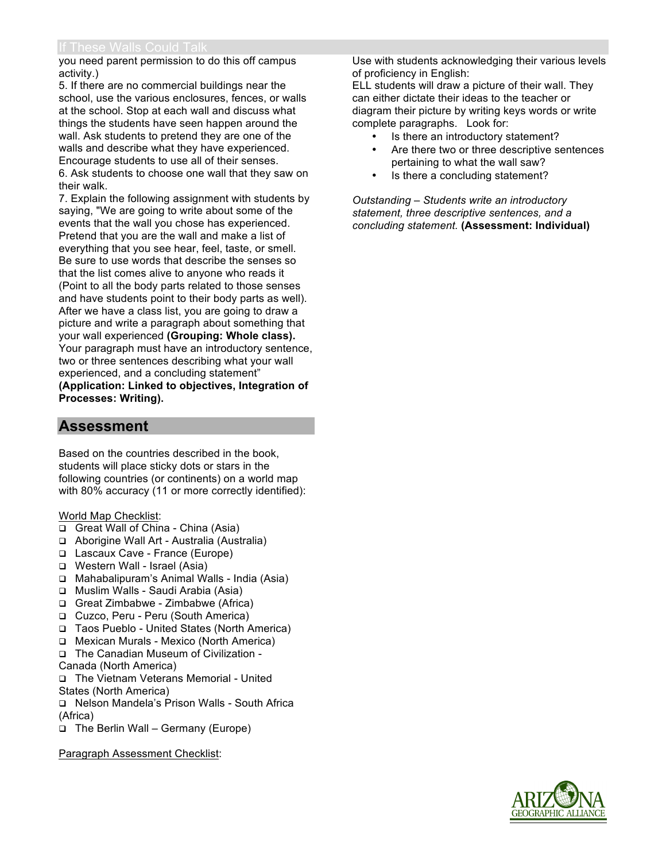you need parent permission to do this off campus activity.)

5. If there are no commercial buildings near the school, use the various enclosures, fences, or walls at the school. Stop at each wall and discuss what things the students have seen happen around the wall. Ask students to pretend they are one of the walls and describe what they have experienced. Encourage students to use all of their senses. 6. Ask students to choose one wall that they saw on their walk.

7. Explain the following assignment with students by saying, "We are going to write about some of the events that the wall you chose has experienced. Pretend that you are the wall and make a list of everything that you see hear, feel, taste, or smell. Be sure to use words that describe the senses so that the list comes alive to anyone who reads it (Point to all the body parts related to those senses and have students point to their body parts as well). After we have a class list, you are going to draw a picture and write a paragraph about something that your wall experienced **(Grouping: Whole class).**  Your paragraph must have an introductory sentence, two or three sentences describing what your wall experienced, and a concluding statement" **(Application: Linked to objectives, Integration of Processes: Writing).**

### **Assessment**

Based on the countries described in the book, students will place sticky dots or stars in the following countries (or continents) on a world map with 80% accuracy (11 or more correctly identified):

World Map Checklist:

- Great Wall of China China (Asia)
- Aborigine Wall Art Australia (Australia)
- Lascaux Cave France (Europe)
- Western Wall Israel (Asia)
- □ Mahabalipuram's Animal Walls India (Asia)
- Muslim Walls Saudi Arabia (Asia)
- Great Zimbabwe Zimbabwe (Africa)
- □ Cuzco, Peru Peru (South America)
- □ Taos Pueblo United States (North America)
- Mexican Murals Mexico (North America)
- The Canadian Museum of Civilization Canada (North America)
- The Vietnam Veterans Memorial United States (North America)
- Nelson Mandela's Prison Walls South Africa (Africa)
- The Berlin Wall Germany (Europe)

Paragraph Assessment Checklist:

Use with students acknowledging their various levels of proficiency in English:

ELL students will draw a picture of their wall. They can either dictate their ideas to the teacher or diagram their picture by writing keys words or write complete paragraphs. Look for:

- Is there an introductory statement?
- Are there two or three descriptive sentences pertaining to what the wall saw?
- Is there a concluding statement?

*Outstanding – Students write an introductory statement, three descriptive sentences, and a concluding statement.* **(Assessment: Individual)**